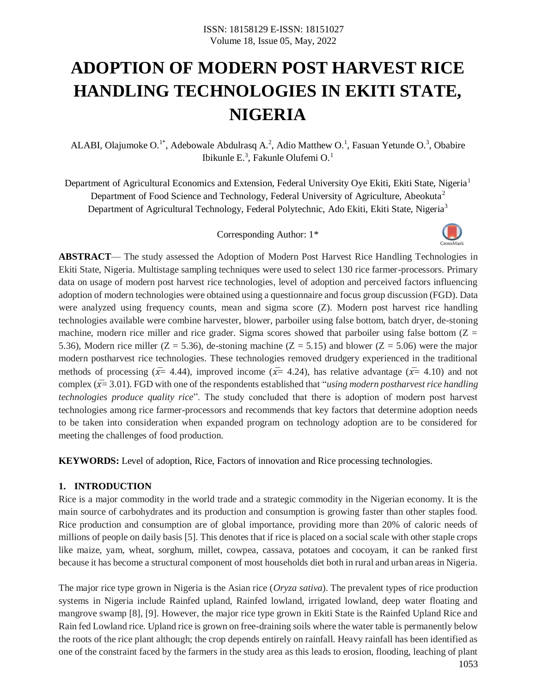# **ADOPTION OF MODERN POST HARVEST RICE HANDLING TECHNOLOGIES IN EKITI STATE, NIGERIA**

ALABI, Olajumoke O.<sup>1\*</sup>, Adebowale Abdulrasq A.<sup>2</sup>, Adio Matthew O.<sup>1</sup>, Fasuan Yetunde O.<sup>3</sup>, Obabire Ibikunle E.<sup>3</sup>, Fakunle Olufemi O.<sup>1</sup>

Department of Agricultural Economics and Extension, Federal University Oye Ekiti, Ekiti State, Nigeria<sup>1</sup> Department of Food Science and Technology, Federal University of Agriculture, Abeokuta<sup>2</sup> Department of Agricultural Technology, Federal Polytechnic, Ado Ekiti, Ekiti State, Nigeria<sup>3</sup>

Corresponding Author: 1\*



**ABSTRACT**— The study assessed the Adoption of Modern Post Harvest Rice Handling Technologies in Ekiti State, Nigeria. Multistage sampling techniques were used to select 130 rice farmer-processors. Primary data on usage of modern post harvest rice technologies, level of adoption and perceived factors influencing adoption of modern technologies were obtained using a questionnaire and focus group discussion (FGD). Data were analyzed using frequency counts, mean and sigma score (Z). Modern post harvest rice handling technologies available were combine harvester, blower, parboiler using false bottom, batch dryer, de-stoning machine, modern rice miller and rice grader. Sigma scores showed that parboiler using false bottom  $(Z =$ 5.36), Modern rice miller ( $Z = 5.36$ ), de-stoning machine ( $Z = 5.15$ ) and blower ( $Z = 5.06$ ) were the major modern postharvest rice technologies. These technologies removed drudgery experienced in the traditional methods of processing  $(\bar{x}=4.44)$ , improved income  $(\bar{x}=4.24)$ , has relative advantage  $(\bar{x}=4.10)$  and not complex  $(\bar{x}=3.01)$ . FGD with one of the respondents established that "*using modern postharvest rice handling technologies produce quality rice*". The study concluded that there is adoption of modern post harvest technologies among rice farmer-processors and recommends that key factors that determine adoption needs to be taken into consideration when expanded program on technology adoption are to be considered for meeting the challenges of food production.

**KEYWORDS:** Level of adoption, Rice, Factors of innovation and Rice processing technologies.

#### **1. INTRODUCTION**

Rice is a major commodity in the world trade and a strategic commodity in the Nigerian economy. It is the main source of carbohydrates and its production and consumption is growing faster than other staples food. Rice production and consumption are of global importance, providing more than 20% of caloric needs of millions of people on daily basis [5]. This denotes that if rice is placed on a social scale with other staple crops like maize, yam, wheat, sorghum, millet, cowpea, cassava, potatoes and cocoyam, it can be ranked first because it has become a structural component of most households diet both in rural and urban areas in Nigeria.

The major rice type grown in Nigeria is the Asian rice (*Oryza sativa*). The prevalent types of rice production systems in Nigeria include Rainfed upland, Rainfed lowland, irrigated lowland, deep water floating and mangrove swamp [8], [9]. However, the major rice type grown in Ekiti State is the Rainfed Upland Rice and Rain fed Lowland rice. Upland rice is grown on free-draining soils where the water table is permanently below the roots of the rice plant although; the crop depends entirely on rainfall. Heavy rainfall has been identified as one of the constraint faced by the farmers in the study area as this leads to erosion, flooding, leaching of plant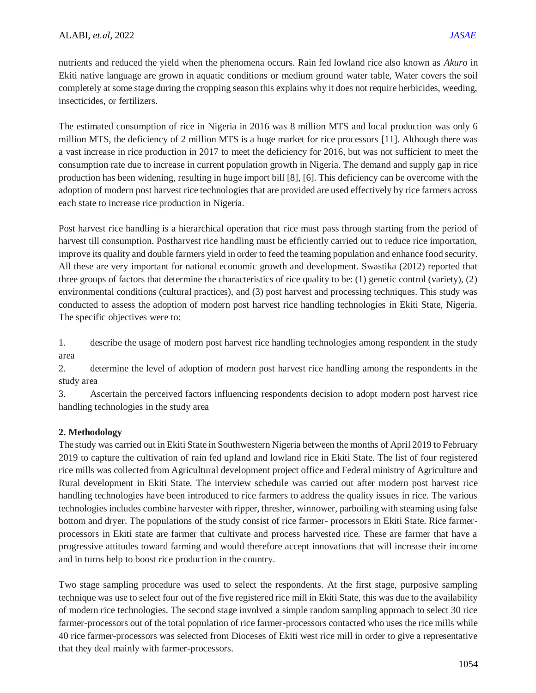nutrients and reduced the yield when the phenomena occurs. Rain fed lowland rice also known as *Akuro* in Ekiti native language are grown in aquatic conditions or medium ground water table, Water covers the soil completely at some stage during the cropping season this explains why it does not require herbicides, weeding, insecticides, or fertilizers.

The estimated consumption of rice in Nigeria in 2016 was 8 million MTS and local production was only 6 million MTS, the deficiency of 2 million MTS is a huge market for rice processors [11]. Although there was a vast increase in rice production in 2017 to meet the deficiency for 2016, but was not sufficient to meet the consumption rate due to increase in current population growth in Nigeria. The demand and supply gap in rice production has been widening, resulting in huge import bill [8], [6]. This deficiency can be overcome with the adoption of modern post harvest rice technologies that are provided are used effectively by rice farmers across each state to increase rice production in Nigeria.

Post harvest rice handling is a hierarchical operation that rice must pass through starting from the period of harvest till consumption. Postharvest rice handling must be efficiently carried out to reduce rice importation, improve its quality and double farmers yield in order to feed the teaming population and enhance food security. All these are very important for national economic growth and development. Swastika (2012) reported that three groups of factors that determine the characteristics of rice quality to be: (1) genetic control (variety), (2) environmental conditions (cultural practices), and (3) post harvest and processing techniques. This study was conducted to assess the adoption of modern post harvest rice handling technologies in Ekiti State, Nigeria. The specific objectives were to:

1. describe the usage of modern post harvest rice handling technologies among respondent in the study area

2. determine the level of adoption of modern post harvest rice handling among the respondents in the study area

3. Ascertain the perceived factors influencing respondents decision to adopt modern post harvest rice handling technologies in the study area

## **2. Methodology**

The study was carried out in Ekiti State in Southwestern Nigeria between the months of April 2019 to February 2019 to capture the cultivation of rain fed upland and lowland rice in Ekiti State. The list of four registered rice mills was collected from Agricultural development project office and Federal ministry of Agriculture and Rural development in Ekiti State. The interview schedule was carried out after modern post harvest rice handling technologies have been introduced to rice farmers to address the quality issues in rice. The various technologies includes combine harvester with ripper, thresher, winnower, parboiling with steaming using false bottom and dryer. The populations of the study consist of rice farmer- processors in Ekiti State. Rice farmerprocessors in Ekiti state are farmer that cultivate and process harvested rice. These are farmer that have a progressive attitudes toward farming and would therefore accept innovations that will increase their income and in turns help to boost rice production in the country.

Two stage sampling procedure was used to select the respondents. At the first stage, purposive sampling technique was use to select four out of the five registered rice mill in Ekiti State, this was due to the availability of modern rice technologies. The second stage involved a simple random sampling approach to select 30 rice farmer-processors out of the total population of rice farmer-processors contacted who uses the rice mills while 40 rice farmer-processors was selected from Dioceses of Ekiti west rice mill in order to give a representative that they deal mainly with farmer-processors.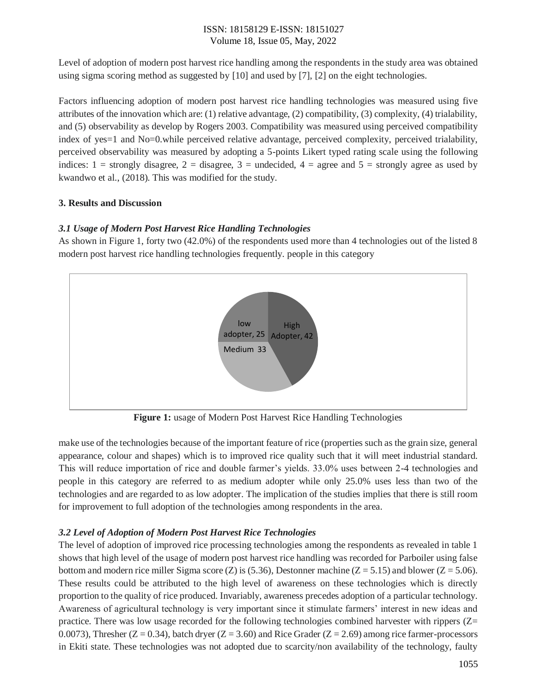## ISSN: 18158129 E-ISSN: 18151027 Volume 18, Issue 05, May, 2022

Level of adoption of modern post harvest rice handling among the respondents in the study area was obtained using sigma scoring method as suggested by [10] and used by [7], [2] on the eight technologies.

Factors influencing adoption of modern post harvest rice handling technologies was measured using five attributes of the innovation which are: (1) relative advantage, (2) compatibility, (3) complexity, (4) trialability, and (5) observability as develop by Rogers 2003. Compatibility was measured using perceived compatibility index of yes=1 and No=0.while perceived relative advantage, perceived complexity, perceived trialability, perceived observability was measured by adopting a 5-points Likert typed rating scale using the following indices:  $1 =$  strongly disagree,  $2 =$  disagree,  $3 =$  undecided,  $4 =$  agree and  $5 =$  strongly agree as used by kwandwo et al., (2018). This was modified for the study.

## **3. Results and Discussion**

## *3.1 Usage of Modern Post Harvest Rice Handling Technologies*

As shown in Figure 1, forty two (42.0%) of the respondents used more than 4 technologies out of the listed 8 modern post harvest rice handling technologies frequently. people in this category



**Figure 1:** usage of Modern Post Harvest Rice Handling Technologies

make use of the technologies because of the important feature of rice (properties such as the grain size, general appearance, colour and shapes) which is to improved rice quality such that it will meet industrial standard. This will reduce importation of rice and double farmer's yields. 33.0% uses between 2-4 technologies and people in this category are referred to as medium adopter while only 25.0% uses less than two of the technologies and are regarded to as low adopter. The implication of the studies implies that there is still room for improvement to full adoption of the technologies among respondents in the area.

## *3.2 Level of Adoption of Modern Post Harvest Rice Technologies*

The level of adoption of improved rice processing technologies among the respondents as revealed in table 1 shows that high level of the usage of modern post harvest rice handling was recorded for Parboiler using false bottom and modern rice miller Sigma score (Z) is (5.36), Destonner machine ( $Z = 5.15$ ) and blower ( $Z = 5.06$ ). These results could be attributed to the high level of awareness on these technologies which is directly proportion to the quality of rice produced. Invariably, awareness precedes adoption of a particular technology. Awareness of agricultural technology is very important since it stimulate farmers' interest in new ideas and practice. There was low usage recorded for the following technologies combined harvester with rippers (Z= 0.0073), Thresher ( $Z = 0.34$ ), batch dryer ( $Z = 3.60$ ) and Rice Grader ( $Z = 2.69$ ) among rice farmer-processors in Ekiti state. These technologies was not adopted due to scarcity/non availability of the technology, faulty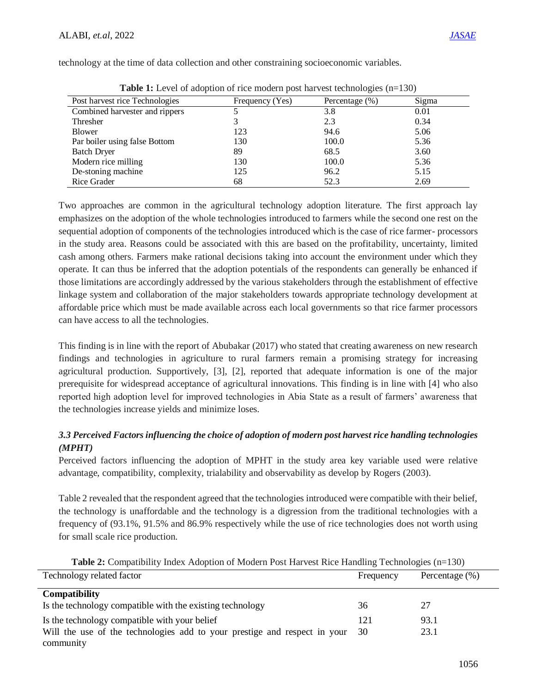technology at the time of data collection and other constraining socioeconomic variables.

| <b>Table 1.</b> Level of adoption of fice modern post harvest technologies (ii—150) |                 |                    |       |  |  |  |
|-------------------------------------------------------------------------------------|-----------------|--------------------|-------|--|--|--|
| Post harvest rice Technologies                                                      | Frequency (Yes) | Percentage $(\% )$ | Sigma |  |  |  |
| Combined harvester and rippers                                                      |                 | 3.8                | 0.01  |  |  |  |
| Thresher                                                                            |                 | 2.3                | 0.34  |  |  |  |
| Blower                                                                              | 123             | 94.6               | 5.06  |  |  |  |
| Par boiler using false Bottom                                                       | 130             | 100.0              | 5.36  |  |  |  |
| <b>Batch Dryer</b>                                                                  | 89              | 68.5               | 3.60  |  |  |  |
| Modern rice milling                                                                 | 130             | 100.0              | 5.36  |  |  |  |
| De-stoning machine                                                                  | 125             | 96.2               | 5.15  |  |  |  |
| Rice Grader                                                                         | 68              | 52.3               | 2.69  |  |  |  |

**Table 1:** Level of adoption of rice modern post harvest technologies  $(n-130)$ 

Two approaches are common in the agricultural technology adoption literature. The first approach lay emphasizes on the adoption of the whole technologies introduced to farmers while the second one rest on the sequential adoption of components of the technologies introduced which is the case of rice farmer- processors in the study area. Reasons could be associated with this are based on the profitability, uncertainty, limited cash among others. Farmers make rational decisions taking into account the environment under which they operate. It can thus be inferred that the adoption potentials of the respondents can generally be enhanced if those limitations are accordingly addressed by the various stakeholders through the establishment of effective linkage system and collaboration of the major stakeholders towards appropriate technology development at affordable price which must be made available across each local governments so that rice farmer processors can have access to all the technologies.

This finding is in line with the report of Abubakar (2017) who stated that creating awareness on new research findings and technologies in agriculture to rural farmers remain a promising strategy for increasing agricultural production. Supportively, [3], [2], reported that adequate information is one of the major prerequisite for widespread acceptance of agricultural innovations. This finding is in line with [4] who also reported high adoption level for improved technologies in Abia State as a result of farmers' awareness that the technologies increase yields and minimize loses.

## *3.3 Perceived Factors influencing the choice of adoption of modern post harvest rice handling technologies (MPHT)*

Perceived factors influencing the adoption of MPHT in the study area key variable used were relative advantage, compatibility, complexity, trialability and observability as develop by Rogers (2003).

Table 2 revealed that the respondent agreed that the technologies introduced were compatible with their belief, the technology is unaffordable and the technology is a digression from the traditional technologies with a frequency of (93.1%, 91.5% and 86.9% respectively while the use of rice technologies does not worth using for small scale rice production.

| Technology related factor                                                 | Frequency | Percentage $(\% )$ |
|---------------------------------------------------------------------------|-----------|--------------------|
| <b>Compatibility</b>                                                      |           |                    |
| Is the technology compatible with the existing technology                 | 36        | 27                 |
| Is the technology compatible with your belief                             | 121       | 93.1               |
| Will the use of the technologies add to your prestige and respect in your | -30       | 23.1               |
| community                                                                 |           |                    |

|  | <b>Table 2:</b> Compatibility Index Adoption of Modern Post Harvest Rice Handling Technologies (n=130) |  |
|--|--------------------------------------------------------------------------------------------------------|--|
|  |                                                                                                        |  |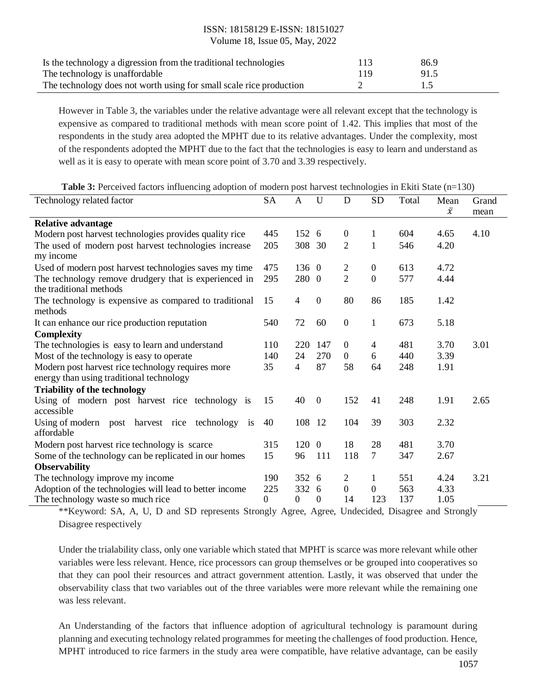# ISSN: 18158129 E-ISSN: 18151027

Volume 18, Issue 05, May, 2022

| Is the technology a digression from the traditional technologies    | 113 | 86.9 |
|---------------------------------------------------------------------|-----|------|
| The technology is unaffordable                                      | 119 | 91.5 |
| The technology does not worth using for small scale rice production |     |      |

However in Table 3, the variables under the relative advantage were all relevant except that the technology is expensive as compared to traditional methods with mean score point of 1.42. This implies that most of the respondents in the study area adopted the MPHT due to its relative advantages. Under the complexity, most of the respondents adopted the MPHT due to the fact that the technologies is easy to learn and understand as well as it is easy to operate with mean score point of 3.70 and 3.39 respectively.

| <b>Table 3:</b> Perceived factors influencing adoption of modern post harvest technologies in Ekiti State $(n=130)$ |  |  |  |
|---------------------------------------------------------------------------------------------------------------------|--|--|--|
|---------------------------------------------------------------------------------------------------------------------|--|--|--|

| Technology related factor<br>SA                                                                                                                                |          | A              | U                | D                | <b>SD</b>             | Total | Mean                                    | Grand |
|----------------------------------------------------------------------------------------------------------------------------------------------------------------|----------|----------------|------------------|------------------|-----------------------|-------|-----------------------------------------|-------|
|                                                                                                                                                                |          |                |                  |                  |                       |       | $\bar{x}$                               | mean  |
| <b>Relative advantage</b>                                                                                                                                      | 445      | 152 6          |                  | $\boldsymbol{0}$ | 1                     | 604   | 4.65                                    | 4.10  |
| Modern post harvest technologies provides quality rice                                                                                                         |          |                |                  |                  |                       |       |                                         |       |
| The used of modern post harvest technologies increase<br>my income                                                                                             | 205      | 308 30         |                  | $\overline{2}$   | 1                     | 546   | 4.20                                    |       |
| Used of modern post harvest technologies saves my time                                                                                                         | 475      | 136 0          |                  | 2                | $\overline{0}$        | 613   | 4.72                                    |       |
| The technology remove drudgery that is experienced in<br>the traditional methods                                                                               | 295      | 280 0          |                  | $\overline{2}$   | $\boldsymbol{0}$      | 577   | 4.44                                    |       |
| The technology is expensive as compared to traditional<br>methods                                                                                              | 15       | 4              | $\boldsymbol{0}$ | 80               | 86                    | 185   | 1.42                                    |       |
| It can enhance our rice production reputation                                                                                                                  | 540      | 72             | 60               | $\overline{0}$   | $\mathbf{1}$          | 673   | 5.18                                    |       |
| <b>Complexity</b>                                                                                                                                              |          |                |                  |                  |                       |       |                                         |       |
| The technologies is easy to learn and understand                                                                                                               | 110      | 220            | 147              | $\theta$         | 4                     | 481   | 3.70                                    | 3.01  |
| Most of the technology is easy to operate                                                                                                                      | 140      | 24             | 270              | $\overline{0}$   | 6                     | 440   | 3.39                                    |       |
| Modern post harvest rice technology requires more                                                                                                              |          | $\overline{4}$ | 87               | 58               | 64                    | 248   | 1.91                                    |       |
| energy than using traditional technology                                                                                                                       |          |                |                  |                  |                       |       |                                         |       |
| <b>Triability of the technology</b>                                                                                                                            |          |                |                  |                  |                       |       |                                         |       |
| Using of modern post harvest rice technology is<br>accessible                                                                                                  | 15       | 40             | $\boldsymbol{0}$ | 152              | 41                    | 248   | 1.91                                    | 2.65  |
| Using of modern post harvest rice technology is<br>affordable                                                                                                  | 40       | 108            | -12              | 104              | 39                    | 303   | 2.32                                    |       |
|                                                                                                                                                                |          |                |                  | 18               |                       |       | 3.70                                    |       |
| Modern post harvest rice technology is scarce                                                                                                                  | 315      | 120            | $\theta$         |                  | 28<br>$7\overline{ }$ | 481   |                                         |       |
| Some of the technology can be replicated in our homes                                                                                                          | 15       | 96             | 111              | 118              |                       | 347   | 2.67                                    |       |
| <b>Observability</b>                                                                                                                                           |          |                |                  |                  |                       |       |                                         |       |
| The technology improve my income                                                                                                                               | 190      | 352            | -6               | 2                | 1                     | 551   | 4.24                                    | 3.21  |
| Adoption of the technologies will lead to better income                                                                                                        | 225      | 332            | 6                | $\overline{0}$   | $\overline{0}$        | 563   | 4.33                                    |       |
| The technology waste so much rice<br>$*$ $*$ $V_1$ and $A$ $A$ $A$ $B$ $D$ and $CD$ and $CD$ depends $C$ then also $A$ and $A$ $D$ $A$ and $A$ $D$ $B$ $C$ $D$ | $\Omega$ | 0              | 0                | 14               | 123                   | 137   | 1.05<br>$\sim 1$ $\Omega$ type $\sim 1$ |       |

\*\*Keyword: SA, A, U, D and SD represents Strongly Agree, Agree, Undecided, Disagree and Strongly Disagree respectively

Under the trialability class, only one variable which stated that MPHT is scarce was more relevant while other variables were less relevant. Hence, rice processors can group themselves or be grouped into cooperatives so that they can pool their resources and attract government attention. Lastly, it was observed that under the observability class that two variables out of the three variables were more relevant while the remaining one was less relevant.

An Understanding of the factors that influence adoption of agricultural technology is paramount during planning and executing technology related programmes for meeting the challenges of food production. Hence, MPHT introduced to rice farmers in the study area were compatible, have relative advantage, can be easily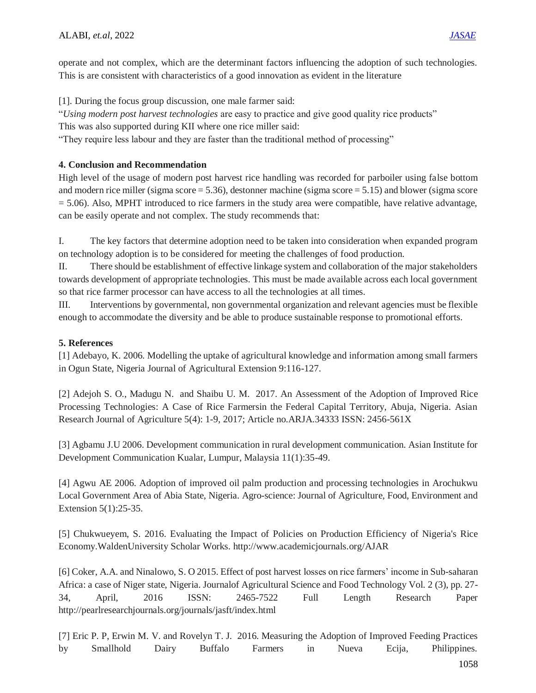operate and not complex, which are the determinant factors influencing the adoption of such technologies. This is are consistent with characteristics of a good innovation as evident in the literature

[1]. During the focus group discussion, one male farmer said:

"*Using modern post harvest technologies* are easy to practice and give good quality rice products"

This was also supported during KII where one rice miller said:

"They require less labour and they are faster than the traditional method of processing"

## **4. Conclusion and Recommendation**

High level of the usage of modern post harvest rice handling was recorded for parboiler using false bottom and modern rice miller (sigma score = 5.36), destonner machine (sigma score = 5.15) and blower (sigma score  $= 5.06$ ). Also, MPHT introduced to rice farmers in the study area were compatible, have relative advantage, can be easily operate and not complex. The study recommends that:

I. The key factors that determine adoption need to be taken into consideration when expanded program on technology adoption is to be considered for meeting the challenges of food production.

II. There should be establishment of effective linkage system and collaboration of the major stakeholders towards development of appropriate technologies. This must be made available across each local government so that rice farmer processor can have access to all the technologies at all times.

III. Interventions by governmental, non governmental organization and relevant agencies must be flexible enough to accommodate the diversity and be able to produce sustainable response to promotional efforts.

## **5. References**

[1] Adebayo, K. 2006. Modelling the uptake of agricultural knowledge and information among small farmers in Ogun State, Nigeria Journal of Agricultural Extension 9:116-127.

[2] Adejoh S. O., Madugu N. and Shaibu U. M. 2017. An Assessment of the Adoption of Improved Rice Processing Technologies: A Case of Rice Farmersin the Federal Capital Territory, Abuja, Nigeria. Asian Research Journal of Agriculture 5(4): 1-9, 2017; Article no.ARJA.34333 ISSN: 2456-561X

[3] Agbamu J.U 2006. Development communication in rural development communication. Asian Institute for Development Communication Kualar, Lumpur, Malaysia 11(1):35-49.

[4] Agwu AE 2006. Adoption of improved oil palm production and processing technologies in Arochukwu Local Government Area of Abia State, Nigeria. Agro-science: Journal of Agriculture, Food, Environment and Extension 5(1):25-35.

[5] Chukwueyem, S. 2016. Evaluating the Impact of Policies on Production Efficiency of Nigeria's Rice Economy.WaldenUniversity Scholar Works. http://www.academicjournals.org/AJAR

[6] Coker, A.A. and Ninalowo, S. O 2015. Effect of post harvest losses on rice farmers' income in Sub-saharan Africa: a case of Niger state, Nigeria. Journalof Agricultural Science and Food Technology Vol. 2 (3), pp. 27- 34, April, 2016 ISSN: 2465-7522 Full Length Research Paper http://pearlresearchjournals.org/journals/jasft/index.html

[7] Eric P. P, Erwin M. V. and Rovelyn T. J. 2016. Measuring the Adoption of Improved Feeding Practices by Smallhold Dairy Buffalo Farmers in Nueva Ecija, Philippines.